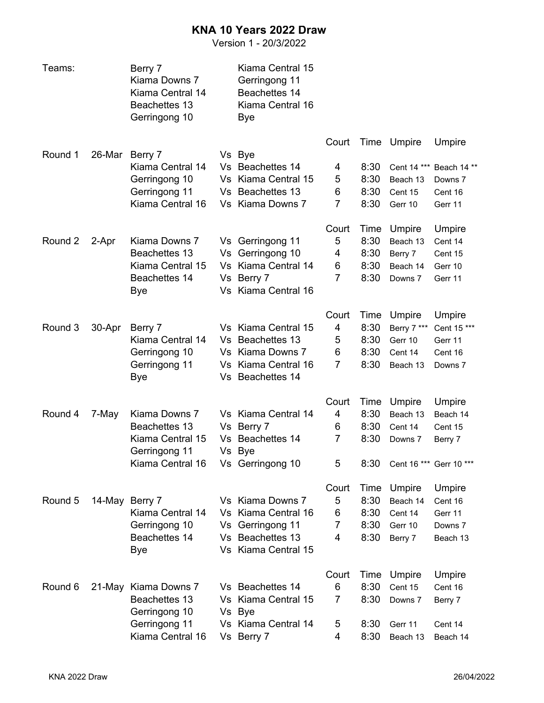## **KNA 10 Years 2022 Draw**

Version 1 - 20/3/2022

| Teams:  |        | Berry 7<br>Kiama Downs 7<br>Kiama Central 14<br>Beachettes 13<br>Gerringong 10              |           | Kiama Central 15<br>Gerringong 11<br>Beachettes 14<br>Kiama Central 16<br>Bye                          |                                        |                                      |                                                                     |                                                               |
|---------|--------|---------------------------------------------------------------------------------------------|-----------|--------------------------------------------------------------------------------------------------------|----------------------------------------|--------------------------------------|---------------------------------------------------------------------|---------------------------------------------------------------|
| Round 1 | 26-Mar | Berry 7<br>Kiama Central 14<br>Gerringong 10<br>Gerringong 11<br>Kiama Central 16           |           | Vs Bye<br>Vs Beachettes 14<br>Vs Kiama Central 15<br>Vs Beachettes 13<br>Vs Kiama Downs 7              | Court<br>4<br>5<br>6<br>7              | 8:30<br>8:30<br>8:30<br>8:30         | Time Umpire<br>Cent 14 ***<br>Beach 13<br>Cent 15<br>Gerr 10        | Umpire<br>Beach 14**<br>Downs 7<br>Cent 16<br>Gerr 11         |
| Round 2 | 2-Apr  | Kiama Downs 7<br>Beachettes 13<br>Kiama Central 15<br>Beachettes 14<br>Bye                  |           | Vs Gerringong 11<br>Vs Gerringong 10<br>Vs Kiama Central 14<br>Vs Berry 7<br>Vs Kiama Central 16       | Court<br>5<br>4<br>6<br>$\overline{7}$ | Time<br>8:30<br>8:30<br>8:30<br>8:30 | Umpire<br>Beach 13<br>Berry 7<br>Beach 14<br>Downs 7                | Umpire<br>Cent 14<br>Cent 15<br>Gerr 10<br>Gerr 11            |
| Round 3 | 30-Apr | Berry 7<br>Kiama Central 14<br>Gerringong 10<br>Gerringong 11<br>Bye                        |           | Vs Kiama Central 15<br>Vs Beachettes 13<br>Vs Kiama Downs 7<br>Vs Kiama Central 16<br>Vs Beachettes 14 | Court<br>4<br>5<br>6<br>$\overline{7}$ | Time<br>8:30<br>8:30<br>8:30<br>8:30 | Umpire<br>Berry 7 ***<br>Gerr 10<br>Cent 14<br>Beach 13             | <b>Umpire</b><br>Cent 15 ***<br>Gerr 11<br>Cent 16<br>Downs 7 |
| Round 4 | 7-May  | Kiama Downs 7<br>Beachettes 13<br>Kiama Central 15<br>Gerringong 11<br>Kiama Central 16     | Vs<br>Vs. | Vs Kiama Central 14<br>Berry 7<br><b>Beachettes 14</b><br>Vs Bye<br>Vs Gerringong 10                   | Court<br>4<br>6<br>$\overline{7}$<br>5 | Time<br>8:30<br>8:30<br>8:30<br>8:30 | Umpire<br>Beach 13<br>Cent 14<br>Downs 7<br>Cent 16 *** Gerr 10 *** | Umpire<br>Beach 14<br>Cent 15<br>Berry 7                      |
| Round 5 |        | 14-May Berry 7<br>Kiama Central 14<br>Gerringong 10<br>Beachettes 14<br>Bye                 |           | Vs Kiama Downs 7<br>Vs Kiama Central 16<br>Vs Gerringong 11<br>Vs Beachettes 13<br>Vs Kiama Central 15 | Court<br>5<br>6<br>$\overline{7}$<br>4 | Time<br>8:30<br>8:30<br>8:30<br>8:30 | Umpire<br>Beach 14<br>Cent 14<br>Gerr 10<br>Berry 7                 | Umpire<br>Cent 16<br>Gerr 11<br>Downs 7<br>Beach 13           |
| Round 6 |        | 21-May Kiama Downs 7<br>Beachettes 13<br>Gerringong 10<br>Gerringong 11<br>Kiama Central 16 |           | Vs Beachettes 14<br>Vs Kiama Central 15<br>Vs Bye<br>Vs Kiama Central 14<br>Vs Berry 7                 | Court<br>6<br>$\overline{7}$<br>5<br>4 | Time<br>8:30<br>8:30<br>8:30<br>8:30 | Umpire<br>Cent 15<br>Downs 7<br>Gerr 11<br>Beach 13                 | Umpire<br>Cent 16<br>Berry 7<br>Cent 14<br>Beach 14           |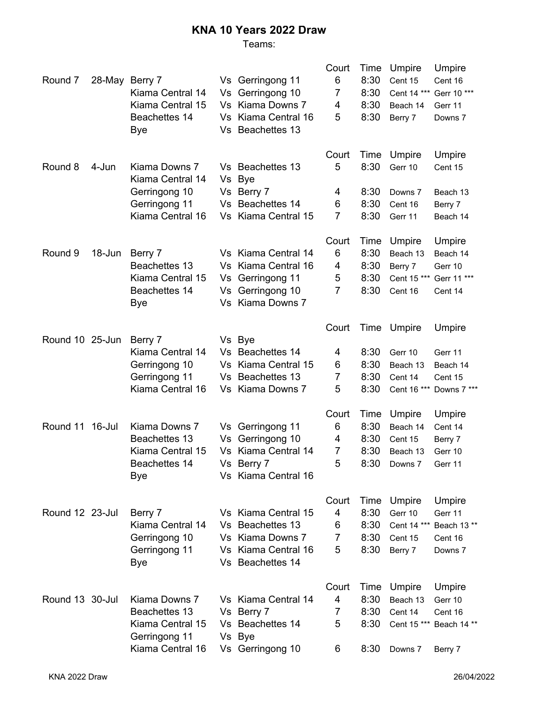## **KNA 10 Years 2022 Draw**

## Teams:

| 6<br>8:30<br>Vs Gerringong 11<br>Round 7<br>28-May<br>Berry 7<br>Cent 15<br>Cent 16<br>Vs Gerringong 10<br>7<br>8:30<br>Kiama Central 14<br>Cent 14 *** Gerr 10 ***<br>Kiama Central 15<br>Vs Kiama Downs 7<br>8:30<br>4<br>Beach 14<br>Gerr 11<br>Vs Kiama Central 16<br>8:30<br>Beachettes 14<br>5<br>Berry 7<br>Downs 7<br>Vs Beachettes 13<br>Bye<br>Court<br>Time<br>Umpire<br>Umpire<br>5<br>8:30<br>Round 8<br>Kiama Downs 7<br>Vs Beachettes 13<br>4-Jun<br>Gerr 10<br>Cent 15 |
|----------------------------------------------------------------------------------------------------------------------------------------------------------------------------------------------------------------------------------------------------------------------------------------------------------------------------------------------------------------------------------------------------------------------------------------------------------------------------------------|
|                                                                                                                                                                                                                                                                                                                                                                                                                                                                                        |
|                                                                                                                                                                                                                                                                                                                                                                                                                                                                                        |
|                                                                                                                                                                                                                                                                                                                                                                                                                                                                                        |
|                                                                                                                                                                                                                                                                                                                                                                                                                                                                                        |
|                                                                                                                                                                                                                                                                                                                                                                                                                                                                                        |
|                                                                                                                                                                                                                                                                                                                                                                                                                                                                                        |
| Kiama Central 14<br>Vs Bye                                                                                                                                                                                                                                                                                                                                                                                                                                                             |
| 8:30<br>Gerringong 10<br>Vs Berry 7<br>4<br>Downs 7<br>Beach 13                                                                                                                                                                                                                                                                                                                                                                                                                        |
| Vs Beachettes 14<br>8:30<br>Gerringong 11<br>6<br>Cent 16<br>Berry 7                                                                                                                                                                                                                                                                                                                                                                                                                   |
| $\overline{7}$<br>Kiama Central 16<br>Vs Kiama Central 15<br>8:30<br>Gerr 11<br>Beach 14                                                                                                                                                                                                                                                                                                                                                                                               |
| Court<br>Time<br>Umpire<br>Umpire                                                                                                                                                                                                                                                                                                                                                                                                                                                      |
| 6<br>8:30<br>Round 9<br>Vs Kiama Central 14<br>18-Jun<br>Berry 7<br>Beach 13<br>Beach 14                                                                                                                                                                                                                                                                                                                                                                                               |
| Beachettes 13<br>Vs Kiama Central 16<br>8:30<br>4<br>Berry 7<br>Gerr 10                                                                                                                                                                                                                                                                                                                                                                                                                |
| Kiama Central 15<br>5<br>8:30<br>Vs Gerringong 11<br>Cent 15 *** Gerr 11 ***                                                                                                                                                                                                                                                                                                                                                                                                           |
| $\overline{7}$<br>Vs Gerringong 10<br>8:30<br>Beachettes 14<br>Cent 16<br>Cent 14                                                                                                                                                                                                                                                                                                                                                                                                      |
| Vs Kiama Downs 7<br>Bye                                                                                                                                                                                                                                                                                                                                                                                                                                                                |
| Time Umpire<br>Court<br>Umpire                                                                                                                                                                                                                                                                                                                                                                                                                                                         |
| Round 10 25-Jun<br>Berry 7<br>Vs Bye                                                                                                                                                                                                                                                                                                                                                                                                                                                   |
| Kiama Central 14<br>Vs Beachettes 14<br>8:30<br>4<br>Gerr 10<br>Gerr 11                                                                                                                                                                                                                                                                                                                                                                                                                |
| 8:30<br>Vs Kiama Central 15<br>Gerringong 10<br>6<br>Beach 13<br>Beach 14                                                                                                                                                                                                                                                                                                                                                                                                              |
| 8:30<br>Gerringong 11<br>Vs Beachettes 13<br>7<br>Cent 14<br>Cent 15                                                                                                                                                                                                                                                                                                                                                                                                                   |
| Kiama Central 16<br>Vs Kiama Downs 7<br>5<br>8:30<br>Cent 16 *** Downs 7 ***                                                                                                                                                                                                                                                                                                                                                                                                           |
| Court<br>Time<br>Umpire<br>Umpire                                                                                                                                                                                                                                                                                                                                                                                                                                                      |
| Round 11 16-Jul<br>Kiama Downs 7<br>Vs Gerringong 11<br>8:30<br>6<br>Beach 14<br>Cent 14                                                                                                                                                                                                                                                                                                                                                                                               |
| Vs Gerringong 10<br>8:30<br>Beachettes 13<br>4<br>Cent 15<br>Berry 7                                                                                                                                                                                                                                                                                                                                                                                                                   |
| Vs Kiama Central 14<br>8:30<br>Kiama Central 15<br>7<br>Beach 13<br>Gerr 10                                                                                                                                                                                                                                                                                                                                                                                                            |
| Beachettes 14<br>Vs Berry 7<br>8:30<br>Downs 7<br>Gerr 11<br>5                                                                                                                                                                                                                                                                                                                                                                                                                         |
| Vs Kiama Central 16<br>Bye                                                                                                                                                                                                                                                                                                                                                                                                                                                             |
| Court<br>Time<br>Umpire<br>Umpire                                                                                                                                                                                                                                                                                                                                                                                                                                                      |
| $\overline{4}$<br>8:30<br>Round 12 23-Jul<br>Vs Kiama Central 15<br>Gerr 10<br>Berry 7<br>Gerr 11                                                                                                                                                                                                                                                                                                                                                                                      |
| Vs Beachettes 13<br>8:30<br>Kiama Central 14<br>6<br>Cent 14 ***<br>Beach 13**                                                                                                                                                                                                                                                                                                                                                                                                         |
| Vs Kiama Downs 7<br>8:30<br>Gerringong 10<br>7<br>Cent 15<br>Cent 16                                                                                                                                                                                                                                                                                                                                                                                                                   |
| Vs Kiama Central 16<br>5<br>8:30<br>Gerringong 11<br>Berry 7<br>Downs 7                                                                                                                                                                                                                                                                                                                                                                                                                |
| Vs Beachettes 14<br>Bye                                                                                                                                                                                                                                                                                                                                                                                                                                                                |
| Umpire<br>Court<br>Time<br>Umpire                                                                                                                                                                                                                                                                                                                                                                                                                                                      |
| 4<br>8:30<br>Round 13 30-Jul<br>Kiama Downs 7<br>Vs Kiama Central 14<br>Beach 13<br>Gerr 10                                                                                                                                                                                                                                                                                                                                                                                            |
| Beachettes 13<br>8:30<br>Vs Berry 7<br>7<br>Cent 14<br>Cent 16                                                                                                                                                                                                                                                                                                                                                                                                                         |
| Kiama Central 15<br>Vs Beachettes 14<br>5<br>8:30<br>Cent 15 *** Beach 14 **<br>Gerringong 11<br>Vs Bye                                                                                                                                                                                                                                                                                                                                                                                |
| Kiama Central 16<br>Vs Gerringong 10<br>8:30<br>6<br>Downs 7<br>Berry 7                                                                                                                                                                                                                                                                                                                                                                                                                |